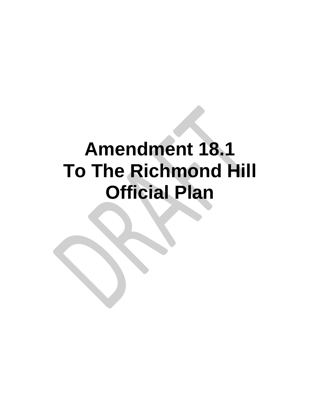# **Amendment 18.1 To The Richmond Hill Official Plan**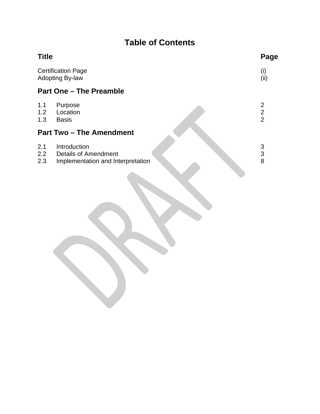## **Table of Contents**

| <b>Title</b>      |                                                                           | Page                                       |
|-------------------|---------------------------------------------------------------------------|--------------------------------------------|
|                   | <b>Certification Page</b><br><b>Adopting By-law</b>                       | (i)<br>(i)                                 |
|                   | <b>Part One - The Preamble</b>                                            |                                            |
| 1.1<br>1.2<br>1.3 | Purpose<br>Location<br><b>Basis</b>                                       | $\overline{2}$<br>$\frac{1}{2}$            |
|                   | <b>Part Two - The Amendment</b>                                           |                                            |
| 2.1<br>2.2<br>2.3 | Introduction<br>Details of Amendment<br>Implementation and Interpretation | $\begin{array}{c} 3 \\ 3 \\ 8 \end{array}$ |
|                   |                                                                           |                                            |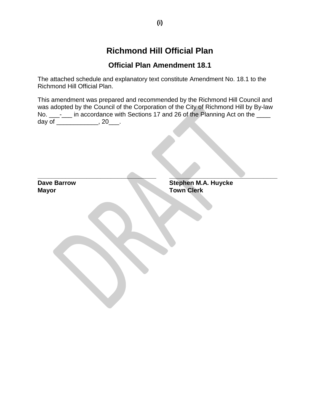## **Richmond Hill Official Plan**

#### **Official Plan Amendment 18.1**

The attached schedule and explanatory text constitute Amendment No. 18.1 to the Richmond Hill Official Plan.

This amendment was prepared and recommended by the Richmond Hill Council and was adopted by the Council of the Corporation of the City of Richmond Hill by By-law No. \_\_\_-\_\_\_ in accordance with Sections 17 and 26 of the Planning Act on the \_\_\_\_ day of \_\_\_\_\_\_\_\_\_\_\_\_, 20\_\_\_.

| <b>Dave Barrow</b><br><b>Mayor</b> | <b>Stephen M.A. Huycke<br/>Town Clerk</b> |
|------------------------------------|-------------------------------------------|
|                                    |                                           |
|                                    |                                           |
|                                    |                                           |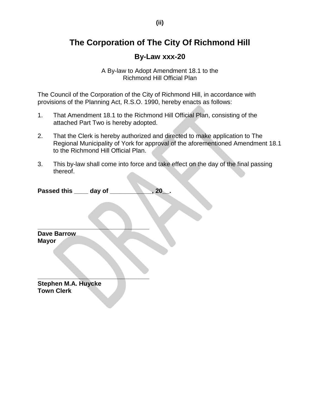## **The Corporation of The City Of Richmond Hill**

#### **By-Law xxx-20**

A By-law to Adopt Amendment 18.1 to the Richmond Hill Official Plan

The Council of the Corporation of the City of Richmond Hill, in accordance with provisions of the Planning Act, R.S.O. 1990, hereby enacts as follows:

- 1. That Amendment 18.1 to the Richmond Hill Official Plan, consisting of the attached Part Two is hereby adopted.
- 2. That the Clerk is hereby authorized and directed to make application to The Regional Municipality of York for approval of the aforementioned Amendment 18.1 to the Richmond Hill Official Plan.
- 3. This by-law shall come into force and take effect on the day of the final passing thereof.

Passed this \_\_\_\_ day of \_\_\_\_\_\_\_\_\_\_, 20\_.

**\_\_\_\_\_\_\_\_\_\_\_\_\_\_\_\_\_\_\_\_\_\_\_\_\_\_\_\_\_\_\_\_**

**Dave Barrow Mayor**

**\_\_\_\_\_\_\_\_\_\_\_\_\_\_\_\_\_\_\_\_\_\_\_\_\_\_\_\_\_\_\_\_ Stephen M.A. Huycke Town Clerk**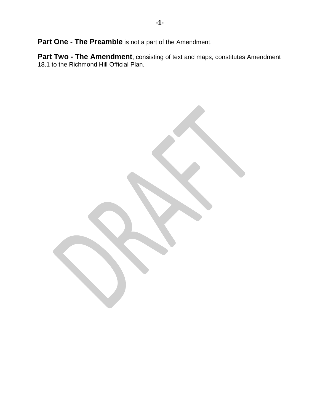**Part One - The Preamble** is not a part of the Amendment.

**Part Two - The Amendment**, consisting of text and maps, constitutes Amendment 18.1 to the Richmond Hill Official Plan.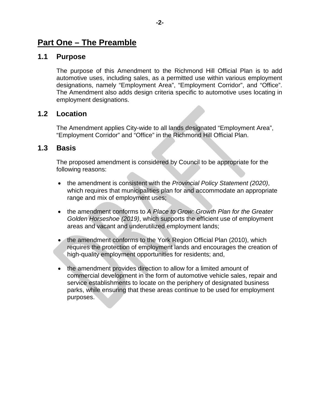### **Part One – The Preamble**

#### **1.1 Purpose**

The purpose of this Amendment to the Richmond Hill Official Plan is to add automotive uses, including sales, as a permitted use within various employment designations, namely "Employment Area", "Employment Corridor", and "Office". The Amendment also adds design criteria specific to automotive uses locating in employment designations.

#### **1.2 Location**

The Amendment applies City-wide to all lands designated "Employment Area", "Employment Corridor" and "Office" in the Richmond Hill Official Plan.

#### **1.3 Basis**

The proposed amendment is considered by Council to be appropriate for the following reasons:

- the amendment is consistent with the *Provincial Policy Statement (2020)*, which requires that municipalities plan for and accommodate an appropriate range and mix of employment uses;
- the amendment conforms to *A Place to Grow: Growth Plan for the Greater Golden Horseshoe (2019)*, which supports the efficient use of employment areas and vacant and underutilized employment lands;
- the amendment conforms to the York Region Official Plan (2010), which requires the protection of employment lands and encourages the creation of high-quality employment opportunities for residents; and,
- the amendment provides direction to allow for a limited amount of commercial development in the form of automotive vehicle sales, repair and service establishments to locate on the periphery of designated business parks, while ensuring that these areas continue to be used for employment purposes.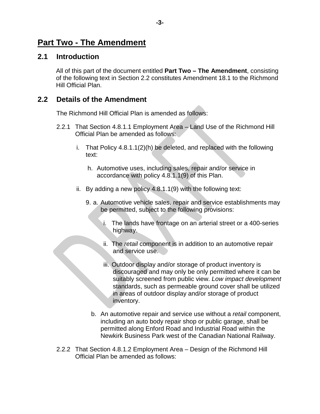## **Part Two - The Amendment**

#### **2.1 Introduction**

All of this part of the document entitled **Part Two – The Amendment**, consisting of the following text in Section 2.2 constitutes Amendment 18.1 to the Richmond Hill Official Plan.

#### **2.2 Details of the Amendment**

The Richmond Hill Official Plan is amended as follows:

- 2.2.1 That Section 4.8.1.1 Employment Area Land Use of the Richmond Hill Official Plan be amended as follows:
	- i. That Policy 4.8.1.1(2)(h) be deleted, and replaced with the following text:
		- h. Automotive uses, including sales, repair and/or service in accordance with policy 4.8.1.1(9) of this Plan.
	- ii. By adding a new policy 4.8.1.1(9) with the following text:
		- 9. a. Automotive vehicle sales, repair and service establishments may be permitted, subject to the following provisions:
			- i. The lands have frontage on an arterial street or a 400-series highway.
			- ii. The *retail* component is in addition to an automotive repair and service use.
			- iii. Outdoor display and/or storage of product inventory is discouraged and may only be only permitted where it can be suitably screened from public view. *Low impact development*  standards, such as permeable ground cover shall be utilized in areas of outdoor display and/or storage of product inventory.
			- b. An automotive repair and service use without a *retail* component, including an auto body repair shop or public garage, shall be permitted along Enford Road and Industrial Road within the Newkirk Business Park west of the Canadian National Railway.
- 2.2.2 That Section 4.8.1.2 Employment Area Design of the Richmond Hill Official Plan be amended as follows: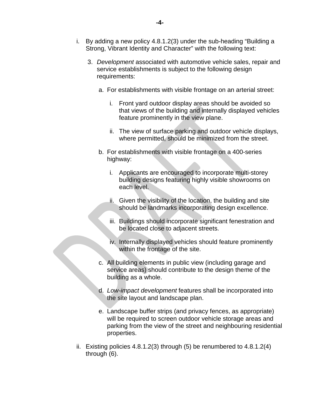- i. By adding a new policy 4.8.1.2(3) under the sub-heading "Building a Strong, Vibrant Identity and Character" with the following text:
	- 3. *Development* associated with automotive vehicle sales, repair and service establishments is subject to the following design requirements:
		- a. For establishments with visible frontage on an arterial street:
			- i. Front yard outdoor display areas should be avoided so that views of the building and internally displayed vehicles feature prominently in the view plane.
			- ii. The view of surface parking and outdoor vehicle displays, where permitted, should be minimized from the street.
		- b. For establishments with visible frontage on a 400-series highway:
			- i. Applicants are encouraged to incorporate multi-storey building designs featuring highly visible showrooms on each level.
			- ii. Given the visibility of the location, the building and site should be landmarks incorporating design excellence.
			- iii. Buildings should incorporate significant fenestration and be located close to adjacent streets.
			- iv. Internally displayed vehicles should feature prominently within the frontage of the site.
		- c. All building elements in public view (including garage and service areas) should contribute to the design theme of the building as a whole.
		- d. *Low-impact development* features shall be incorporated into the site layout and landscape plan.
		- e. Landscape buffer strips (and privacy fences, as appropriate) will be required to screen outdoor vehicle storage areas and parking from the view of the street and neighbouring residential properties.
- ii. Existing policies 4.8.1.2(3) through (5) be renumbered to 4.8.1.2(4) through (6).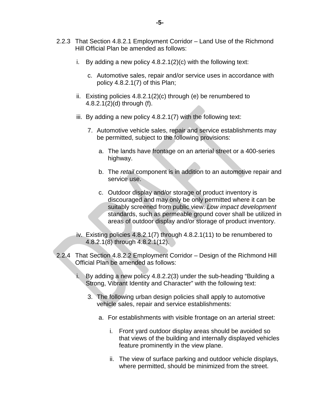- 2.2.3 That Section 4.8.2.1 Employment Corridor Land Use of the Richmond Hill Official Plan be amended as follows:
	- i. By adding a new policy  $4.8.2.1(2)(c)$  with the following text:
		- c. Automotive sales, repair and/or service uses in accordance with policy 4.8.2.1(7) of this Plan;
	- ii. Existing policies 4.8.2.1(2)(c) through (e) be renumbered to 4.8.2.1(2)(d) through (f).
	- iii. By adding a new policy 4.8.2.1(7) with the following text:
		- 7. Automotive vehicle sales, repair and service establishments may be permitted, subject to the following provisions:
			- a. The lands have frontage on an arterial street or a 400-series highway.
			- b. The *retail* component is in addition to an automotive repair and service use.
			- c. Outdoor display and/or storage of product inventory is discouraged and may only be only permitted where it can be suitably screened from public view. *Low impact development*  standards, such as permeable ground cover shall be utilized in areas of outdoor display and/or storage of product inventory.
	- iv. Existing policies 4.8.2.1(7) through 4.8.2.1(11) to be renumbered to 4.8.2.1(8) through 4.8.2.1(12).
- 2.2.4 That Section 4.8.2.2 Employment Corridor Design of the Richmond Hill Official Plan be amended as follows:
	- i. By adding a new policy 4.8.2.2(3) under the sub-heading "Building a Strong, Vibrant Identity and Character" with the following text:
		- 3. The following urban design policies shall apply to automotive vehicle sales, repair and service establishments:
			- a. For establishments with visible frontage on an arterial street:
				- i. Front yard outdoor display areas should be avoided so that views of the building and internally displayed vehicles feature prominently in the view plane.
				- ii. The view of surface parking and outdoor vehicle displays, where permitted, should be minimized from the street.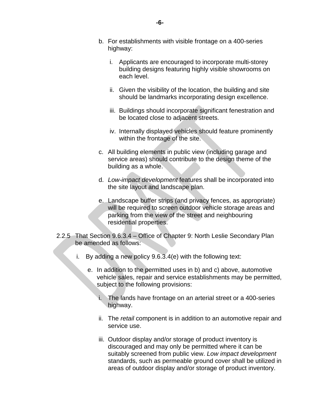- b. For establishments with visible frontage on a 400-series highway:
	- i. Applicants are encouraged to incorporate multi-storey building designs featuring highly visible showrooms on each level.
	- ii. Given the visibility of the location, the building and site should be landmarks incorporating design excellence.
	- iii. Buildings should incorporate significant fenestration and be located close to adjacent streets.
	- iv. Internally displayed vehicles should feature prominently within the frontage of the site.
- c. All building elements in public view (including garage and service areas) should contribute to the design theme of the building as a whole.
- d. *Low-impact development* features shall be incorporated into the site layout and landscape plan.
- e. Landscape buffer strips (and privacy fences, as appropriate) will be required to screen outdoor vehicle storage areas and parking from the view of the street and neighbouring residential properties.
- 2.2.5 That Section 9.6.3.4 Office of Chapter 9: North Leslie Secondary Plan be amended as follows:
	- i. By adding a new policy 9.6.3.4(e) with the following text:
		- e. In addition to the permitted uses in b) and c) above, automotive vehicle sales, repair and service establishments may be permitted, subject to the following provisions:
			- i. The lands have frontage on an arterial street or a 400-series highway.
			- ii. The *retail* component is in addition to an automotive repair and service use.
			- iii. Outdoor display and/or storage of product inventory is discouraged and may only be permitted where it can be suitably screened from public view. *Low impact development* standards, such as permeable ground cover shall be utilized in areas of outdoor display and/or storage of product inventory.